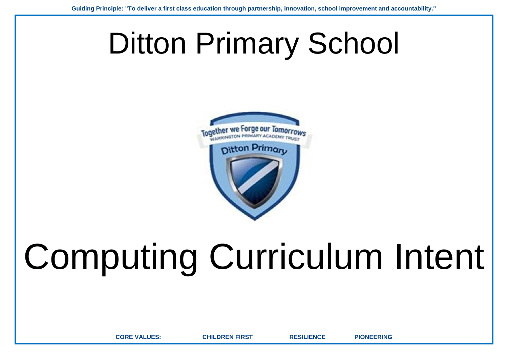## Ditton Primary School



## Computing Curriculum Intent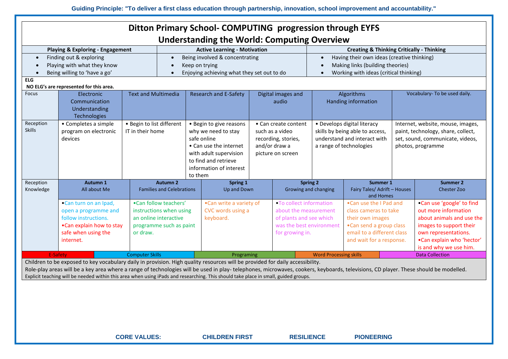|                                                                                                                                            |                                                                                                                                                                                                                                                                                                                                                                                                                                                             |                                                                                                                  |                                                                                                                                                                                                              | Ditton Primary School- COMPUTING progression through EYFS<br><b>Understanding the World: Computing Overview</b> |  |                                                                                                                             |                                                     |                                                                                                                                                           |  |                                                                                                                                                                                          |  |
|--------------------------------------------------------------------------------------------------------------------------------------------|-------------------------------------------------------------------------------------------------------------------------------------------------------------------------------------------------------------------------------------------------------------------------------------------------------------------------------------------------------------------------------------------------------------------------------------------------------------|------------------------------------------------------------------------------------------------------------------|--------------------------------------------------------------------------------------------------------------------------------------------------------------------------------------------------------------|-----------------------------------------------------------------------------------------------------------------|--|-----------------------------------------------------------------------------------------------------------------------------|-----------------------------------------------------|-----------------------------------------------------------------------------------------------------------------------------------------------------------|--|------------------------------------------------------------------------------------------------------------------------------------------------------------------------------------------|--|
| <b>Creating &amp; Thinking Critically - Thinking</b><br><b>Playing &amp; Exploring - Engagement</b><br><b>Active Learning - Motivation</b> |                                                                                                                                                                                                                                                                                                                                                                                                                                                             |                                                                                                                  |                                                                                                                                                                                                              |                                                                                                                 |  |                                                                                                                             |                                                     |                                                                                                                                                           |  |                                                                                                                                                                                          |  |
| $\bullet$                                                                                                                                  | Finding out & exploring                                                                                                                                                                                                                                                                                                                                                                                                                                     |                                                                                                                  | Being involved & concentrating<br>$\bullet$                                                                                                                                                                  |                                                                                                                 |  |                                                                                                                             | $\bullet$                                           | Having their own ideas (creative thinking)                                                                                                                |  |                                                                                                                                                                                          |  |
|                                                                                                                                            | Playing with what they know                                                                                                                                                                                                                                                                                                                                                                                                                                 |                                                                                                                  | Keep on trying                                                                                                                                                                                               |                                                                                                                 |  |                                                                                                                             | Making links (building theories)                    |                                                                                                                                                           |  |                                                                                                                                                                                          |  |
|                                                                                                                                            | Being willing to 'have a go'                                                                                                                                                                                                                                                                                                                                                                                                                                |                                                                                                                  | Enjoying achieving what they set out to do<br>$\bullet$                                                                                                                                                      |                                                                                                                 |  |                                                                                                                             | Working with ideas (critical thinking)<br>$\bullet$ |                                                                                                                                                           |  |                                                                                                                                                                                          |  |
| <b>ELG</b>                                                                                                                                 |                                                                                                                                                                                                                                                                                                                                                                                                                                                             |                                                                                                                  |                                                                                                                                                                                                              |                                                                                                                 |  |                                                                                                                             |                                                     |                                                                                                                                                           |  |                                                                                                                                                                                          |  |
| Focus                                                                                                                                      | NO ELG's are represented for this area.<br>Electronic                                                                                                                                                                                                                                                                                                                                                                                                       | <b>Text and Multimedia</b>                                                                                       |                                                                                                                                                                                                              |                                                                                                                 |  | Digital images and                                                                                                          |                                                     | Algorithms                                                                                                                                                |  | Vocabulary- To be used daily.                                                                                                                                                            |  |
|                                                                                                                                            | Communication<br>Understanding<br>Technologies                                                                                                                                                                                                                                                                                                                                                                                                              |                                                                                                                  |                                                                                                                                                                                                              | <b>Research and E-Safety</b>                                                                                    |  | audio                                                                                                                       | Handing information                                 |                                                                                                                                                           |  |                                                                                                                                                                                          |  |
| Reception<br><b>Skills</b>                                                                                                                 | • Completes a simple<br>program on electronic<br>IT in their home<br>devices                                                                                                                                                                                                                                                                                                                                                                                |                                                                                                                  | • Begin to list different<br>• Begin to give reasons<br>why we need to stay<br>safe online<br>• Can use the internet<br>with adult supervision<br>to find and retrieve<br>information of interest<br>to them |                                                                                                                 |  | • Can create content<br>such as a video<br>recording, stories,<br>and/or draw a<br>picture on screen                        |                                                     | • Develops digital literacy<br>skills by being able to access,<br>understand and interact with<br>a range of technologies                                 |  | Internet, website, mouse, images,<br>paint, technology, share, collect,<br>set, sound, communicate, videos,<br>photos, programme                                                         |  |
| Reception<br>Knowledge                                                                                                                     | Autumn 1<br>All about Me                                                                                                                                                                                                                                                                                                                                                                                                                                    |                                                                                                                  | <b>Autumn 2</b><br><b>Families and Celebrations</b>                                                                                                                                                          | Spring 1<br>Up and Down                                                                                         |  | <b>Spring 2</b><br>Growing and changing                                                                                     |                                                     | Summer 1<br>Fairy Tales/ Adrift - Houses<br>and Homes                                                                                                     |  | <b>Summer 2</b><br><b>Chester Zoo</b>                                                                                                                                                    |  |
| •Can turn on an Ipad,<br>open a programme and<br>follow instructions.<br>.Can explain how to stay<br>safe when using the<br>internet.      |                                                                                                                                                                                                                                                                                                                                                                                                                                                             | •Can follow teachers'<br>instructions when using<br>an online interactive<br>programme such as paint<br>or draw. |                                                                                                                                                                                                              | .Can write a variety of<br>CVC words using a<br>keyboard.                                                       |  | . To collect information<br>about the measurement<br>of plants and see which<br>was the best environment<br>for growing in. |                                                     | . Can use the I Pad and<br>class cameras to take<br>their own images<br>•Can send a group class<br>email to a different class<br>and wait for a response. |  | .Can use 'google' to find<br>out more information<br>about animals and use the<br>images to support their<br>own representations.<br>.Can explain who 'hector'<br>is and why we use him. |  |
|                                                                                                                                            | <b>Computer Skills</b><br><b>Word Processing skills</b><br>E-Safety<br><b>Data Collection</b><br>Programing                                                                                                                                                                                                                                                                                                                                                 |                                                                                                                  |                                                                                                                                                                                                              |                                                                                                                 |  |                                                                                                                             |                                                     |                                                                                                                                                           |  |                                                                                                                                                                                          |  |
|                                                                                                                                            | Children to be exposed to key vocabulary daily in provision. High quality resources will be provided for daily accessibility.<br>Role-play areas will be a key area where a range of technologies will be used in play-telephones, microwaves, cookers, keyboards, televisions, CD player. These should be modelled.<br>Explicit teaching will be needed within this area when using iPads and researching. This should take place in small, guided groups. |                                                                                                                  |                                                                                                                                                                                                              |                                                                                                                 |  |                                                                                                                             |                                                     |                                                                                                                                                           |  |                                                                                                                                                                                          |  |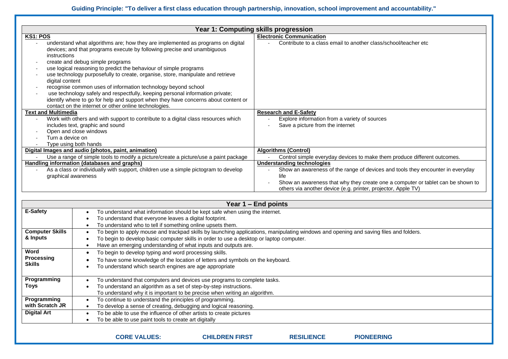|                                 |                                                                                                                                                                                                                                                                                                                                                                                                                                                                                                                                                                                                                                                         | Year 1: Computing skills progression                                                                                                             |  |  |  |
|---------------------------------|---------------------------------------------------------------------------------------------------------------------------------------------------------------------------------------------------------------------------------------------------------------------------------------------------------------------------------------------------------------------------------------------------------------------------------------------------------------------------------------------------------------------------------------------------------------------------------------------------------------------------------------------------------|--------------------------------------------------------------------------------------------------------------------------------------------------|--|--|--|
| <b>KS1: POS</b>                 |                                                                                                                                                                                                                                                                                                                                                                                                                                                                                                                                                                                                                                                         | <b>Electronic Communication</b>                                                                                                                  |  |  |  |
| instructions<br>digital content | understand what algorithms are; how they are implemented as programs on digital<br>devices; and that programs execute by following precise and unambiguous<br>create and debug simple programs<br>use logical reasoning to predict the behaviour of simple programs<br>use technology purposefully to create, organise, store, manipulate and retrieve<br>recognise common uses of information technology beyond school<br>use technology safely and respectfully, keeping personal information private;<br>identify where to go for help and support when they have concerns about content or<br>contact on the internet or other online technologies. | Contribute to a class email to another class/school/teacher etc                                                                                  |  |  |  |
| <b>Text and Multimedia</b>      |                                                                                                                                                                                                                                                                                                                                                                                                                                                                                                                                                                                                                                                         | <b>Research and E-Safety</b>                                                                                                                     |  |  |  |
|                                 | Work with others and with support to contribute to a digital class resources which                                                                                                                                                                                                                                                                                                                                                                                                                                                                                                                                                                      | Explore information from a variety of sources                                                                                                    |  |  |  |
|                                 | includes text, graphic and sound                                                                                                                                                                                                                                                                                                                                                                                                                                                                                                                                                                                                                        | Save a picture from the internet                                                                                                                 |  |  |  |
|                                 | Open and close windows                                                                                                                                                                                                                                                                                                                                                                                                                                                                                                                                                                                                                                  |                                                                                                                                                  |  |  |  |
|                                 | Turn a device on                                                                                                                                                                                                                                                                                                                                                                                                                                                                                                                                                                                                                                        |                                                                                                                                                  |  |  |  |
| $\overline{\phantom{a}}$        | Type using both hands                                                                                                                                                                                                                                                                                                                                                                                                                                                                                                                                                                                                                                   |                                                                                                                                                  |  |  |  |
|                                 | Digital Images and audio (photos, paint, animation)                                                                                                                                                                                                                                                                                                                                                                                                                                                                                                                                                                                                     | <b>Algorithms (Control)</b>                                                                                                                      |  |  |  |
| $\sim$                          | Use a range of simple tools to modify a picture/create a picture/use a paint package                                                                                                                                                                                                                                                                                                                                                                                                                                                                                                                                                                    | Control simple everyday devices to make them produce different outcomes.                                                                         |  |  |  |
|                                 | <b>Handling information (databases and graphs)</b>                                                                                                                                                                                                                                                                                                                                                                                                                                                                                                                                                                                                      | <b>Understanding technologies</b>                                                                                                                |  |  |  |
|                                 | As a class or individually with support, children use a simple pictogram to develop                                                                                                                                                                                                                                                                                                                                                                                                                                                                                                                                                                     | Show an awareness of the range of devices and tools they encounter in everyday                                                                   |  |  |  |
| graphical awareness             |                                                                                                                                                                                                                                                                                                                                                                                                                                                                                                                                                                                                                                                         | life                                                                                                                                             |  |  |  |
|                                 |                                                                                                                                                                                                                                                                                                                                                                                                                                                                                                                                                                                                                                                         | Show an awareness that why they create one a computer or tablet can be shown to<br>others via another device (e.g. printer, projector, Apple TV) |  |  |  |
|                                 |                                                                                                                                                                                                                                                                                                                                                                                                                                                                                                                                                                                                                                                         |                                                                                                                                                  |  |  |  |
|                                 |                                                                                                                                                                                                                                                                                                                                                                                                                                                                                                                                                                                                                                                         | Year 1 – End points                                                                                                                              |  |  |  |
| <b>E-Safety</b>                 | To understand what information should be kept safe when using the internet.<br>$\bullet$                                                                                                                                                                                                                                                                                                                                                                                                                                                                                                                                                                |                                                                                                                                                  |  |  |  |
|                                 | To understand that everyone leaves a digital footprint.<br>$\bullet$                                                                                                                                                                                                                                                                                                                                                                                                                                                                                                                                                                                    |                                                                                                                                                  |  |  |  |
|                                 | To understand who to tell if something online upsets them.<br>$\bullet$                                                                                                                                                                                                                                                                                                                                                                                                                                                                                                                                                                                 |                                                                                                                                                  |  |  |  |
| <b>Computer Skills</b>          | $\bullet$                                                                                                                                                                                                                                                                                                                                                                                                                                                                                                                                                                                                                                               | To begin to apply mouse and trackpad skills by launching applications, manipulating windows and opening and saving files and folders.            |  |  |  |
| & Inputs                        | To begin to develop basic computer skills in order to use a desktop or laptop computer.<br>$\bullet$                                                                                                                                                                                                                                                                                                                                                                                                                                                                                                                                                    |                                                                                                                                                  |  |  |  |
|                                 | Have an emerging understanding of what inputs and outputs are.<br>$\bullet$                                                                                                                                                                                                                                                                                                                                                                                                                                                                                                                                                                             |                                                                                                                                                  |  |  |  |
| Word                            | To begin to develop typing and word processing skills.<br>$\bullet$                                                                                                                                                                                                                                                                                                                                                                                                                                                                                                                                                                                     |                                                                                                                                                  |  |  |  |
| <b>Processing</b>               | To have some knowledge of the location of letters and symbols on the keyboard.<br>$\bullet$                                                                                                                                                                                                                                                                                                                                                                                                                                                                                                                                                             |                                                                                                                                                  |  |  |  |
| <b>Skills</b>                   | To understand which search engines are age appropriate<br>$\bullet$                                                                                                                                                                                                                                                                                                                                                                                                                                                                                                                                                                                     |                                                                                                                                                  |  |  |  |
|                                 |                                                                                                                                                                                                                                                                                                                                                                                                                                                                                                                                                                                                                                                         |                                                                                                                                                  |  |  |  |
| Programming                     | To understand that computers and devices use programs to complete tasks.<br>$\bullet$                                                                                                                                                                                                                                                                                                                                                                                                                                                                                                                                                                   |                                                                                                                                                  |  |  |  |
| Toys                            | To understand an algorithm as a set of step-by-step instructions.<br>$\bullet$                                                                                                                                                                                                                                                                                                                                                                                                                                                                                                                                                                          |                                                                                                                                                  |  |  |  |
|                                 | To understand why it is important to be precise when writing an algorithm.                                                                                                                                                                                                                                                                                                                                                                                                                                                                                                                                                                              |                                                                                                                                                  |  |  |  |
| Programming                     | To continue to understand the principles of programming.<br>$\bullet$                                                                                                                                                                                                                                                                                                                                                                                                                                                                                                                                                                                   |                                                                                                                                                  |  |  |  |
| with Scratch JR                 | To develop a sense of creating, debugging and logical reasoning.<br>$\bullet$                                                                                                                                                                                                                                                                                                                                                                                                                                                                                                                                                                           |                                                                                                                                                  |  |  |  |
| <b>Digital Art</b>              | To be able to use the influence of other artists to create pictures<br>$\bullet$                                                                                                                                                                                                                                                                                                                                                                                                                                                                                                                                                                        |                                                                                                                                                  |  |  |  |
|                                 | To be able to use paint tools to create art digitally<br>$\bullet$                                                                                                                                                                                                                                                                                                                                                                                                                                                                                                                                                                                      |                                                                                                                                                  |  |  |  |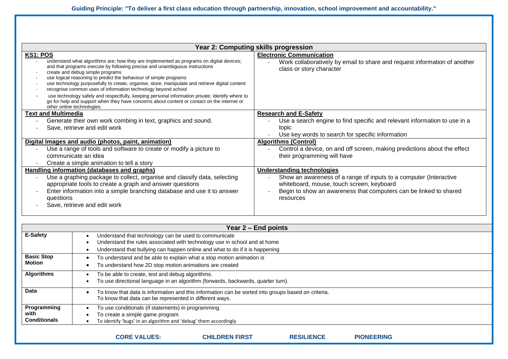**Guiding Principle: "To deliver a first class education through partnership, innovation, school improvement and accountability."**

| Year 2: Computing skills progression                                                                                                                                                                                                                                                                                                                                                                                                                                                                                                                                                                                                                                                                                                                     |                                                                                                                                                                                                                                       |  |  |  |  |
|----------------------------------------------------------------------------------------------------------------------------------------------------------------------------------------------------------------------------------------------------------------------------------------------------------------------------------------------------------------------------------------------------------------------------------------------------------------------------------------------------------------------------------------------------------------------------------------------------------------------------------------------------------------------------------------------------------------------------------------------------------|---------------------------------------------------------------------------------------------------------------------------------------------------------------------------------------------------------------------------------------|--|--|--|--|
| KS1: POS<br>understand what algorithms are; how they are implemented as programs on digital devices;<br>and that programs execute by following precise and unambiguous instructions<br>create and debug simple programs<br>use logical reasoning to predict the behaviour of simple programs<br>$\overline{\phantom{a}}$<br>use technology purposefully to create, organise, store, manipulate and retrieve digital content<br>$\overline{\phantom{a}}$<br>recognise common uses of information technology beyond school<br>use technology safely and respectfully, keeping personal information private; identify where to<br>go for help and support when they have concerns about content or contact on the internet or<br>other online technologies. | <b>Electronic Communication</b><br>Work collaboratively by email to share and request information of another<br>class or story character                                                                                              |  |  |  |  |
| <b>Text and Multimedia</b><br>Generate their own work combing in text, graphics and sound.<br>Save, retrieve and edit work                                                                                                                                                                                                                                                                                                                                                                                                                                                                                                                                                                                                                               | <b>Research and E-Safety</b><br>Use a search engine to find specific and relevant information to use in a<br>topic<br>Use key words to search for specific information                                                                |  |  |  |  |
| Digital Images and audio (photos, paint, animation)<br>Use a range of tools and software to create or modify a picture to<br>communicate an idea<br>Create a simple animation to tell a story<br>$\overline{\phantom{a}}$                                                                                                                                                                                                                                                                                                                                                                                                                                                                                                                                | <b>Algorithms (Control)</b><br>Control a device, on and off screen, making predictions about the effect<br>their programming will have                                                                                                |  |  |  |  |
| Handling information (databases and graphs)<br>Use a graphing package to collect, organise and classify data, selecting<br>$\overline{\phantom{a}}$<br>appropriate tools to create a graph and answer questions<br>Enter information into a simple branching database and use it to answer<br>$\overline{\phantom{a}}$<br>questions<br>Save, retrieve and edit work                                                                                                                                                                                                                                                                                                                                                                                      | <b>Understanding technologies</b><br>Show an awareness of a range of inputs to a computer (Interactive<br>whiteboard, mouse, touch screen, keyboard<br>Begin to show an awareness that computers can be linked to shared<br>resources |  |  |  |  |

|                                                                                           | Year 2 – End points                                                                                                                                           |  |  |  |
|-------------------------------------------------------------------------------------------|---------------------------------------------------------------------------------------------------------------------------------------------------------------|--|--|--|
| E-Safety                                                                                  | Understand that technology can be used to communicate                                                                                                         |  |  |  |
|                                                                                           | Understand the rules associated with technology use in school and at home                                                                                     |  |  |  |
|                                                                                           | Understand that bullying can happen online and what to do if it is happening                                                                                  |  |  |  |
| <b>Basic Stop</b><br>To understand and be able to explain what a stop motion animation is |                                                                                                                                                               |  |  |  |
| <b>Motion</b>                                                                             | To understand how 2D stop motion animations are created                                                                                                       |  |  |  |
| <b>Algorithms</b>                                                                         | To be able to create, test and debug algorithms.                                                                                                              |  |  |  |
|                                                                                           | To use directional language in an algorithm (forwards, backwards, quarter turn).                                                                              |  |  |  |
| Data                                                                                      | To know that data is information and this information can be sorted into groups based on criteria.<br>To know that data can be represented in different ways. |  |  |  |
|                                                                                           |                                                                                                                                                               |  |  |  |
| Programming                                                                               | To use conditionals (if statements) in programming.                                                                                                           |  |  |  |
| with                                                                                      | To create a simple game program                                                                                                                               |  |  |  |
| <b>Conditionals</b>                                                                       | To identify 'bugs' in an algorithm and 'debug' them accordingly                                                                                               |  |  |  |
|                                                                                           |                                                                                                                                                               |  |  |  |
|                                                                                           | <b>CORE VALUES:</b><br><b>CHILDREN FIRST</b><br><b>PIONEERING</b><br><b>RESILIENCE</b>                                                                        |  |  |  |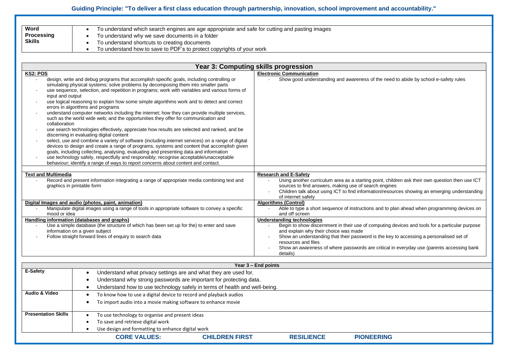## **Guiding Principle: "To deliver a first class education through partnership, innovation, school improvement and accountability."**

| Word              | To understand which search engines are age appropriate and safe for cutting and pasting images |
|-------------------|------------------------------------------------------------------------------------------------|
| <b>Processing</b> | To understand why we save documents in a folder                                                |
| Skills            | To understand shortcuts to creating documents                                                  |
|                   | To understand how to save to PDF's to protect copyrights of your work                          |

|                                                      |                                                                                                                                                                                                                                                                                                                                                                                                                                                                                                                                                                                                                                                                                                                                                                                                                                                                                                                                                                                                                                                                                                                                              | Year 3: Computing skills progression                                                                                                                                                                                                                                                                                                                                                                                                                                                                                                                                                                                                                                                                                                                                                                                                                                       |  |
|------------------------------------------------------|----------------------------------------------------------------------------------------------------------------------------------------------------------------------------------------------------------------------------------------------------------------------------------------------------------------------------------------------------------------------------------------------------------------------------------------------------------------------------------------------------------------------------------------------------------------------------------------------------------------------------------------------------------------------------------------------------------------------------------------------------------------------------------------------------------------------------------------------------------------------------------------------------------------------------------------------------------------------------------------------------------------------------------------------------------------------------------------------------------------------------------------------|----------------------------------------------------------------------------------------------------------------------------------------------------------------------------------------------------------------------------------------------------------------------------------------------------------------------------------------------------------------------------------------------------------------------------------------------------------------------------------------------------------------------------------------------------------------------------------------------------------------------------------------------------------------------------------------------------------------------------------------------------------------------------------------------------------------------------------------------------------------------------|--|
| <b>KS2: POS</b><br>input and output<br>collaboration | design, write and debug programs that accomplish specific goals, including controlling or<br>simulating physical systems; solve problems by decomposing them into smaller parts<br>use sequence, selection, and repetition in programs; work with variables and various forms of<br>use logical reasoning to explain how some simple algorithms work and to detect and correct<br>errors in algorithms and programs<br>understand computer networks including the internet; how they can provide multiple services,<br>such as the world wide web; and the opportunities they offer for communication and<br>use search technologies effectively, appreciate how results are selected and ranked, and be<br>discerning in evaluating digital content<br>select, use and combine a variety of software (including internet services) on a range of digital<br>devices to design and create a range of programs, systems and content that accomplish given<br>goals, including collecting, analysing, evaluating and presenting data and information<br>use technology safely, respectfully and responsibly; recognise acceptable/unacceptable | <b>Electronic Communication</b><br>Show good understanding and awareness of the need to abide by school e-safety rules                                                                                                                                                                                                                                                                                                                                                                                                                                                                                                                                                                                                                                                                                                                                                     |  |
| <b>Text and Multimedia</b><br>mood or idea           | behaviour; identify a range of ways to report concerns about content and contact.<br>Record and present information integrating a range of appropriate media combining text and<br>graphics in printable form<br>Digital Images and audio (photos, paint, animation)<br>Manipulate digital images using a range of tools in appropriate software to convey a specific<br><b>Handling information (databases and graphs)</b><br>Use a simple database (the structure of which has been set up for the) to enter and save<br>information on a given subject<br>Follow straight forward lines of enquiry to search data                                                                                                                                                                                                                                                                                                                                                                                                                                                                                                                         | <b>Research and E-Safety</b><br>Using another curriculum area as a starting point, children ask their own question then use ICT<br>sources to find answers, making use of search engines<br>Children talk about using ICT to find information/resources showing an emerging understanding<br>of internet safety<br><b>Algorithms (Control)</b><br>Able to type a short sequence of instructions and to plan ahead when programming devices on<br>and off screen<br><b>Understanding technologies</b><br>Begin to show discernment in their use of computing devices and tools for a particular purpose<br>and explain why their choice was made<br>Show an understanding that their password is the key to accessing a personalised set of<br>resources and files<br>Show an awareness of where passwords are critical in everyday use (parents accessing bank<br>details) |  |
|                                                      |                                                                                                                                                                                                                                                                                                                                                                                                                                                                                                                                                                                                                                                                                                                                                                                                                                                                                                                                                                                                                                                                                                                                              | Year 3 - End points                                                                                                                                                                                                                                                                                                                                                                                                                                                                                                                                                                                                                                                                                                                                                                                                                                                        |  |
| E-Safety                                             | Understand what privacy settings are and what they are used for.<br>Understand why strong passwords are important for protecting data.<br>Understand how to use technology safely in terms of health and well-being.<br>$\bullet$                                                                                                                                                                                                                                                                                                                                                                                                                                                                                                                                                                                                                                                                                                                                                                                                                                                                                                            |                                                                                                                                                                                                                                                                                                                                                                                                                                                                                                                                                                                                                                                                                                                                                                                                                                                                            |  |
| <b>Audio &amp; Video</b>                             | To know how to use a digital device to record and playback audios<br>$\bullet$<br>To import audio into a movie making software to enhance movie<br>$\bullet$                                                                                                                                                                                                                                                                                                                                                                                                                                                                                                                                                                                                                                                                                                                                                                                                                                                                                                                                                                                 |                                                                                                                                                                                                                                                                                                                                                                                                                                                                                                                                                                                                                                                                                                                                                                                                                                                                            |  |
| <b>Presentation Skills</b>                           | To use technology to organise and present ideas<br>To save and retrieve digital work<br>Use design and formatting to enhance digital work                                                                                                                                                                                                                                                                                                                                                                                                                                                                                                                                                                                                                                                                                                                                                                                                                                                                                                                                                                                                    |                                                                                                                                                                                                                                                                                                                                                                                                                                                                                                                                                                                                                                                                                                                                                                                                                                                                            |  |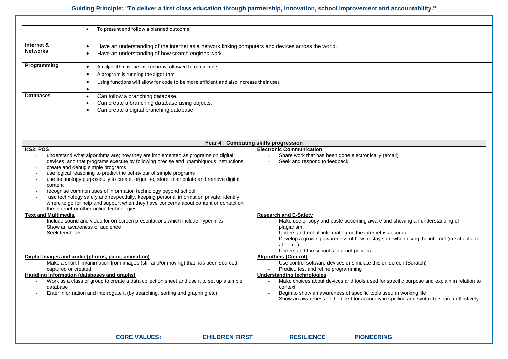## **Guiding Principle: "To deliver a first class education through partnership, innovation, school improvement and accountability."**

|                  | To present and follow a planned outcome<br>$\bullet$                                               |
|------------------|----------------------------------------------------------------------------------------------------|
|                  |                                                                                                    |
| Internet &       | Have an understanding of the internet as a network linking computers and devices across the world. |
| <b>Networks</b>  | Have an understanding of how search engines work.                                                  |
| Programming      | An algorithm is the instructions followed to run a code                                            |
|                  | A program is running the algorithm                                                                 |
|                  | Using functions will allow for code to be more efficient and also increase their uses              |
|                  |                                                                                                    |
| <b>Databases</b> | Can follow a branching database.                                                                   |
|                  | Can create a branching database using objects.                                                     |
|                  | Can create a digital branching database                                                            |
|                  |                                                                                                    |

| Year 4 : Computing skills progression                                                                                                                                                                                                                                                                                                                                                                                                                                                                                                                                                                                                                                                                                                                       |                                                                                                                                                                                                                                                                                                                                                                                                                                                |  |  |  |  |
|-------------------------------------------------------------------------------------------------------------------------------------------------------------------------------------------------------------------------------------------------------------------------------------------------------------------------------------------------------------------------------------------------------------------------------------------------------------------------------------------------------------------------------------------------------------------------------------------------------------------------------------------------------------------------------------------------------------------------------------------------------------|------------------------------------------------------------------------------------------------------------------------------------------------------------------------------------------------------------------------------------------------------------------------------------------------------------------------------------------------------------------------------------------------------------------------------------------------|--|--|--|--|
| KS2: POS<br>understand what algorithms are; how they are implemented as programs on digital<br>devices; and that programs execute by following precise and unambiguous instructions<br>create and debug simple programs<br>$\overline{\phantom{a}}$<br>use logical reasoning to predict the behaviour of simple programs<br>use technology purposefully to create, organise, store, manipulate and retrieve digital<br>content<br>recognise common uses of information technology beyond school<br>$\overline{\phantom{a}}$<br>use technology safely and respectfully, keeping personal information private; identify<br>where to go for help and support when they have concerns about content or contact on<br>the internet or other online technologies. | <b>Electronic Communication</b><br>Share work that has been done electronically (email)<br>Seek and respond to feedback                                                                                                                                                                                                                                                                                                                        |  |  |  |  |
| <b>Text and Multimedia</b><br>Include sound and video for on-screen presentations which include hyperlinks<br>Show an awareness of audience<br>Seek feedback                                                                                                                                                                                                                                                                                                                                                                                                                                                                                                                                                                                                | <b>Research and E-Safety</b><br>Make use of copy and paste becoming aware and showing an understanding of<br>plagiarism<br>Understand not all information on the internet is accurate<br>Develop a growing awareness of how to stay safe when using the internet (in school and<br>at home)<br>Understand the school's internet policies                                                                                                       |  |  |  |  |
| Digital Images and audio (photos, paint, animation)<br>Make a short film/animation from images (still and/or moving) that has been sourced,<br>captured or created<br>Handling information (databases and graphs)<br>Work as a class or group to create a data collection sheet and use it to set up a simple<br>database<br>Enter information and interrogate it (by searching, sorting and graphing etc)                                                                                                                                                                                                                                                                                                                                                  | <b>Algorithms (Control)</b><br>Use control software devices or simulate this on screen (Scratch)<br>Predict, test and refine programming<br>Understanding technologies<br>Make choices about devices and tools used for specific purpose and explain in relation to<br>context<br>Begin to show an awareness of specific tools used in working life<br>Show an awareness of the need for accuracy in spelling and syntax to search effectively |  |  |  |  |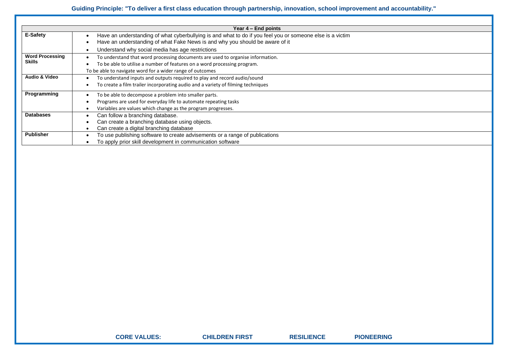|                          | Year 4 – End points                                                                                       |
|--------------------------|-----------------------------------------------------------------------------------------------------------|
| E-Safety                 | Have an understanding of what cyberbullying is and what to do if you feel you or someone else is a victim |
|                          | Have an understanding of what Fake News is and why you should be aware of it                              |
|                          | Understand why social media has age restrictions                                                          |
| <b>Word Processing</b>   | To understand that word processing documents are used to organise information.                            |
| <b>Skills</b>            | To be able to utilise a number of features on a word processing program.                                  |
|                          | To be able to navigate word for a wider range of outcomes                                                 |
| <b>Audio &amp; Video</b> | To understand inputs and outputs required to play and record audio/sound                                  |
|                          | To create a film trailer incorporating audio and a variety of filming techniques                          |
| Programming              | To be able to decompose a problem into smaller parts.                                                     |
|                          | Programs are used for everyday life to automate repeating tasks                                           |
|                          | Variables are values which change as the program progresses.                                              |
| <b>Databases</b>         | Can follow a branching database.                                                                          |
|                          | Can create a branching database using objects.                                                            |
|                          | Can create a digital branching database                                                                   |
| <b>Publisher</b>         | To use publishing software to create advisements or a range of publications                               |
|                          | To apply prior skill development in communication software                                                |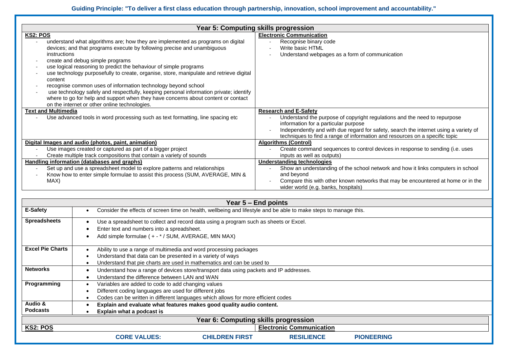| <b>Year 5: Computing skills progression</b>                                                                                                                                                                                                                                                                                                                                                                                                                                                                                                                                                                                                                                                            |                                                                                                                                                                                                                                                                                                                          |  |  |  |  |
|--------------------------------------------------------------------------------------------------------------------------------------------------------------------------------------------------------------------------------------------------------------------------------------------------------------------------------------------------------------------------------------------------------------------------------------------------------------------------------------------------------------------------------------------------------------------------------------------------------------------------------------------------------------------------------------------------------|--------------------------------------------------------------------------------------------------------------------------------------------------------------------------------------------------------------------------------------------------------------------------------------------------------------------------|--|--|--|--|
| KS2: POS<br>understand what algorithms are; how they are implemented as programs on digital<br>devices; and that programs execute by following precise and unambiguous<br>instructions<br>create and debug simple programs<br>use logical reasoning to predict the behaviour of simple programs<br>use technology purposefully to create, organise, store, manipulate and retrieve digital<br>content<br>recognise common uses of information technology beyond school<br>use technology safely and respectfully, keeping personal information private; identify<br>where to go for help and support when they have concerns about content or contact<br>on the internet or other online technologies. | <b>Electronic Communication</b><br>Recognise binary code<br>Write basic HTML<br>Understand webpages as a form of communication                                                                                                                                                                                           |  |  |  |  |
| <b>Text and Multimedia</b><br>Use advanced tools in word processing such as text formatting, line spacing etc                                                                                                                                                                                                                                                                                                                                                                                                                                                                                                                                                                                          | <b>Research and E-Safety</b><br>Understand the purpose of copyright regulations and the need to repurpose<br>information for a particular purpose<br>Independently and with due regard for safety, search the internet using a variety of<br>techniques to find a range of information and resources on a specific topic |  |  |  |  |
| Digital Images and audio (photos, paint, animation)<br>Use images created or captured as part of a bigger project<br>Create multiple track compositions that contain a variety of sounds                                                                                                                                                                                                                                                                                                                                                                                                                                                                                                               | <b>Algorithms (Control)</b><br>Create command sequences to control devices in response to sending (i.e. uses<br>inputs as well as outputs)                                                                                                                                                                               |  |  |  |  |
| Handling information (databases and graphs)<br>Set up and use a spreadsheet model to explore patterns and relationships<br>$\overline{\phantom{a}}$<br>Know how to enter simple formulae to assist this process (SUM, AVERAGE, MIN &<br>$\overline{\phantom{a}}$<br>MAX)                                                                                                                                                                                                                                                                                                                                                                                                                               | Understanding technologies<br>Show an understanding of the school network and how it links computers in school<br>and beyond<br>Compare this with other known networks that may be encountered at home or in the<br>wider world (e.g. banks, hospitals)                                                                  |  |  |  |  |

|                         | Year 5 – End points                                                                                              |                                                                   |                       |                                 |                   |  |
|-------------------------|------------------------------------------------------------------------------------------------------------------|-------------------------------------------------------------------|-----------------------|---------------------------------|-------------------|--|
| <b>E-Safety</b>         | Consider the effects of screen time on health, wellbeing and lifestyle and be able to make steps to manage this. |                                                                   |                       |                                 |                   |  |
| <b>Spreadsheets</b>     | Use a spreadsheet to collect and record data using a program such as sheets or Excel.                            |                                                                   |                       |                                 |                   |  |
|                         | Enter text and numbers into a spreadsheet.                                                                       |                                                                   |                       |                                 |                   |  |
|                         | Add simple formulae (+-*/SUM, AVERAGE, MIN MAX)                                                                  |                                                                   |                       |                                 |                   |  |
| <b>Excel Pie Charts</b> |                                                                                                                  | Ability to use a range of multimedia and word processing packages |                       |                                 |                   |  |
|                         |                                                                                                                  | Understand that data can be presented in a variety of ways        |                       |                                 |                   |  |
|                         | Understand that pie charts are used in mathematics and can be used to                                            |                                                                   |                       |                                 |                   |  |
| <b>Networks</b>         | Understand how a range of devices store/transport data using packets and IP addresses.                           |                                                                   |                       |                                 |                   |  |
|                         |                                                                                                                  | Understand the difference between LAN and WAN                     |                       |                                 |                   |  |
| Programming             | Variables are added to code to add changing values                                                               |                                                                   |                       |                                 |                   |  |
|                         | Different coding languages are used for different jobs                                                           |                                                                   |                       |                                 |                   |  |
|                         | Codes can be written in different languages which allows for more efficient codes                                |                                                                   |                       |                                 |                   |  |
| Audio &                 | Explain and evaluate what features makes good quality audio content.                                             |                                                                   |                       |                                 |                   |  |
| <b>Podcasts</b>         | Explain what a podcast is                                                                                        |                                                                   |                       |                                 |                   |  |
|                         | Year 6: Computing skills progression                                                                             |                                                                   |                       |                                 |                   |  |
| KS2: POS                |                                                                                                                  |                                                                   |                       | <b>Electronic Communication</b> |                   |  |
|                         |                                                                                                                  | <b>CORE VALUES:</b>                                               | <b>CHILDREN FIRST</b> | <b>RESILIENCE</b>               | <b>PIONEERING</b> |  |